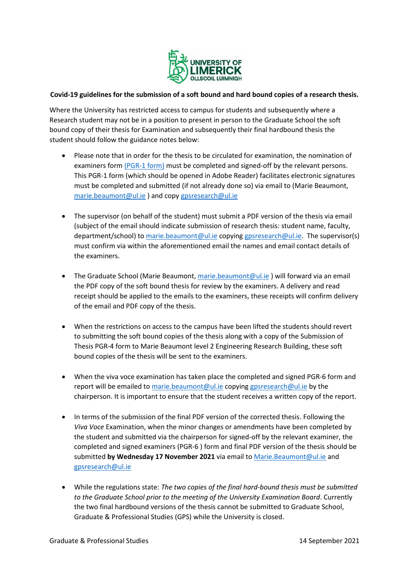

## **Covid-19 guidelines for the submission of a soft bound and hard bound copies of a research thesis.**

Where the University has restricted access to campus for students and subsequently where a Research student may not be in a position to present in person to the Graduate School the soft bound copy of their thesis for Examination and subsequently their final hardbound thesis the student should follow the guidance notes below:

- Please note that in order for the thesis to be circulated for examination, the nomination of examiners form [\(PGR-1 form\)](https://www.ul.ie/gps/postgraduate-research-forms) must be completed and signed-off by the relevant persons. This PGR-1 form (which should be opened in Adobe Reader) facilitates electronic signatures must be completed and submitted (if not already done so) via email to (Marie Beaumont, [marie.beaumont@ul.ie](mailto:marie.beaumont@ul.ie) ) and copy [gpsresearch@ul.ie](mailto:gpsresearch@ul.ie)
- The supervisor (on behalf of the student) must submit a PDF version of the thesis via email (subject of the email should indicate submission of research thesis: student name, faculty, department/school) t[o marie.beaumont@ul.ie](mailto:marie.beaumont@ul.ie) copying [gpsresearch@ul.ie.](mailto:gpsresearch@ul.ie) The supervisor(s) must confirm via within the aforementioned email the names and email contact details of the examiners.
- **•** The Graduate School (Marie Beaumont, [marie.beaumont@ul.ie](mailto:marie.beaumont@ul.ie)) will forward via an email the PDF copy of the soft bound thesis for review by the examiners. A delivery and read receipt should be applied to the emails to the examiners, these receipts will confirm delivery of the email and PDF copy of the thesis.
- When the restrictions on access to the campus have been lifted the students should revert to submitting the soft bound copies of the thesis along with a copy of the Submission of Thesis PGR-4 form to Marie Beaumont level 2 Engineering Research Building, these soft bound copies of the thesis will be sent to the examiners.
- When the viva voce examination has taken place the completed and signed PGR-6 form and report will be emailed to [marie.beaumont@ul.ie](mailto:marie.beaumont@ul.ie) copying [gpsresearch@ul.ie](mailto:gpsresearch@ul.ie) by the chairperson. It is important to ensure that the student receives a written copy of the report.
- In terms of the submission of the final PDF version of the corrected thesis. Following the *Viva Voce* Examination, when the minor changes or amendments have been completed by the student and submitted via the chairperson for signed-off by the relevant examiner, the completed and signed examiners (PGR-6 ) form and final PDF version of the thesis should be submitted **by Wednesday 17 November 2021** via email t[o Marie.Beaumont@ul.ie](mailto:Marie.Beaumont@ul.ie) and [gpsresearch@ul.ie](mailto:gpsresearch@ul.ie)
- While the regulations state: *The two copies of the final hard-bound thesis must be submitted to the Graduate School prior to the meeting of the University Examination Board*. Currently the two final hardbound versions of the thesis cannot be submitted to Graduate School, Graduate & Professional Studies (GPS) while the University is closed.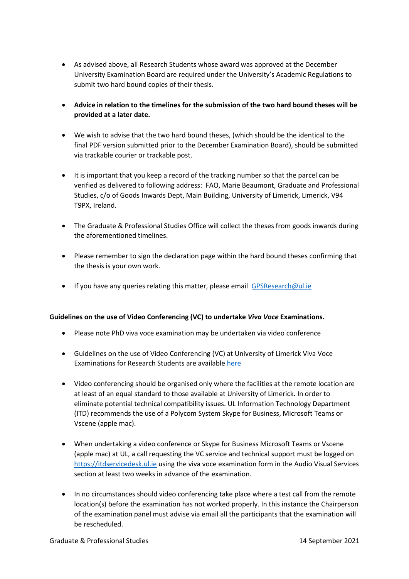- As advised above, all Research Students whose award was approved at the December University Examination Board are required under the University's Academic Regulations to submit two hard bound copies of their thesis.
- **Advice in relation to the timelines for the submission of the two hard bound theses will be provided at a later date.**
- We wish to advise that the two hard bound theses, (which should be the identical to the final PDF version submitted prior to the December Examination Board), should be submitted via trackable courier or trackable post.
- It is important that you keep a record of the tracking number so that the parcel can be verified as delivered to following address: FAO, Marie Beaumont, Graduate and Professional Studies, c/o of Goods Inwards Dept, Main Building, University of Limerick, Limerick, V94 T9PX, Ireland.
- The Graduate & Professional Studies Office will collect the theses from goods inwards during the aforementioned timelines.
- Please remember to sign the declaration page within the hard bound theses confirming that the thesis is your own work.
- If you have any queries relating this matter, please email [GPSResearch@ul.ie](mailto:GPSResearch@ul.ie)

## **Guidelines on the use of Video Conferencing (VC) to undertake** *Viva Voce* **Examinations.**

- Please note PhD viva voce examination may be undertaken via video conference
- Guidelines on the use of Video Conferencing (VC) at University of Limerick Viva Voce Examinations for Research Students are available [here](https://www.ul.ie/gps/codes-practice-and-regulations)
- Video conferencing should be organised only where the facilities at the remote location are at least of an equal standard to those available at University of Limerick. In order to eliminate potential technical compatibility issues. UL Information Technology Department (ITD) recommends the use of a Polycom System Skype for Business, Microsoft Teams or Vscene (apple mac).
- When undertaking a video conference or Skype for Business Microsoft Teams or Vscene (apple mac) at UL, a call requesting the VC service and technical support must be logged on [https://itdservicedesk.ul.ie](https://itdservicedesk.ul.ie/) using the viva voce examination form in the Audio Visual Services section at least two weeks in advance of the examination.
- In no circumstances should video conferencing take place where a test call from the remote location(s) before the examination has not worked properly. In this instance the Chairperson of the examination panel must advise via email all the participants that the examination will be rescheduled.